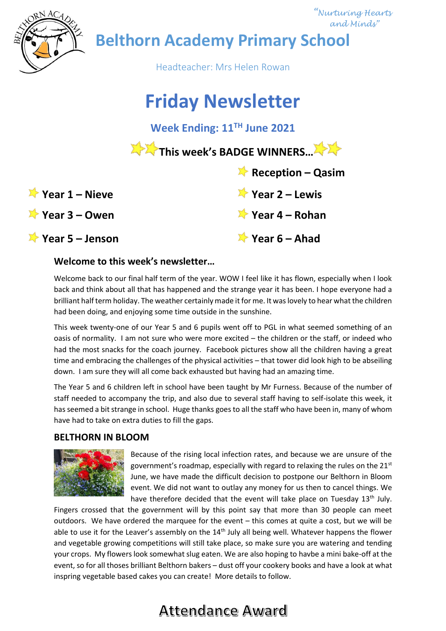

 *"Nurturing Hearts and Minds"*

**Belthorn Academy Primary School**

Headteacher: Mrs Helen Rowan

# **Friday Newsletter**

**Week Ending: 11TH June 2021**

This week's BADGE WINNERS...<sup>....</sup>

 **Reception – Qasim**

**Year 1 – Nieve Year 2 – Lewis**

|  | $\blacktriangleright$ Year 1 – Nieve |  |
|--|--------------------------------------|--|
|  |                                      |  |

# **Year 3 – Owen Year 4 – Rohan**

# **Year 5 – Jenson Year 6 – Ahad**

## **Welcome to this week's newsletter…**

Welcome back to our final half term of the year. WOW I feel like it has flown, especially when I look back and think about all that has happened and the strange year it has been. I hope everyone had a brilliant half term holiday. The weather certainly made it for me. It was lovely to hear what the children had been doing, and enjoying some time outside in the sunshine.

This week twenty-one of our Year 5 and 6 pupils went off to PGL in what seemed something of an oasis of normality. I am not sure who were more excited – the children or the staff, or indeed who had the most snacks for the coach journey. Facebook pictures show all the children having a great time and embracing the challenges of the physical activities – that tower did look high to be abseiling down. I am sure they will all come back exhausted but having had an amazing time.

The Year 5 and 6 children left in school have been taught by Mr Furness. Because of the number of staff needed to accompany the trip, and also due to several staff having to self-isolate this week, it has seemed a bit strange in school. Huge thanks goes to all the staff who have been in, many of whom have had to take on extra duties to fill the gaps.

## **BELTHORN IN BLOOM**



Because of the rising local infection rates, and because we are unsure of the government's roadmap, especially with regard to relaxing the rules on the  $21^{st}$ June, we have made the difficult decision to postpone our Belthorn in Bloom event. We did not want to outlay any money for us then to cancel things. We have therefore decided that the event will take place on Tuesday  $13<sup>th</sup>$  July.

Fingers crossed that the government will by this point say that more than 30 people can meet outdoors. We have ordered the marquee for the event – this comes at quite a cost, but we will be able to use it for the Leaver's assembly on the 14<sup>th</sup> July all being well. Whatever happens the flower and vegetable growing competitions will still take place, so make sure you are watering and tending your crops. My flowers look somewhat slug eaten. We are also hoping to havbe a mini bake-off at the event, so for all thoses brilliant Belthorn bakers – dust off your cookery books and have a look at what inspring vegetable based cakes you can create! More details to follow.

# **Attendance Award**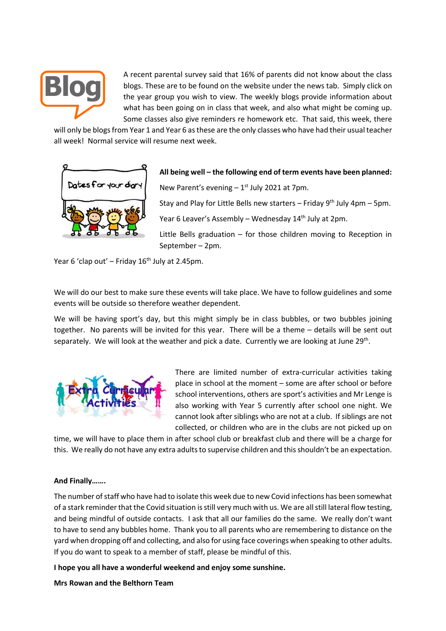

A recent parental survey said that 16% of parents did not know about the class blogs. These are to be found on the website under the news tab. Simply click on the year group you wish to view. The weekly blogs provide information about what has been going on in class that week, and also what might be coming up. Some classes also give reminders re homework etc. That said, this week, there

will only be blogs from Year 1 and Year 6 asthese are the only classes who have had their usual teacher all week! Normal service will resume next week.



### **All being well – the following end of term events have been planned:**

New Parent's evening  $-1$ <sup>st</sup> July 2021 at 7pm.

Stay and Play for Little Bells new starters – Friday  $9<sup>th</sup>$  July 4pm – 5pm.

Year 6 Leaver's Assembly – Wednesday 14<sup>th</sup> July at 2pm.

Little Bells graduation – for those children moving to Reception in September – 2pm.

Year 6 'clap out' – Friday  $16<sup>th</sup>$  July at 2.45pm.

We will do our best to make sure these events will take place. We have to follow guidelines and some events will be outside so therefore weather dependent.

We will be having sport's day, but this might simply be in class bubbles, or two bubbles joining together. No parents will be invited for this year. There will be a theme – details will be sent out separately. We will look at the weather and pick a date. Currently we are looking at June 29<sup>th</sup>.



There are limited number of extra-curricular activities taking place in school at the moment – some are after school or before school interventions, others are sport's activities and Mr Lenge is also working with Year 5 currently after school one night. We cannot look after siblings who are not at a club. If siblings are not collected, or children who are in the clubs are not picked up on

time, we will have to place them in after school club or breakfast club and there will be a charge for this. We really do not have any extra adults to supervise children and this shouldn't be an expectation.

#### **And Finally…….**

The number of staff who have had to isolate this week due to new Covid infections has been somewhat of a stark reminder that the Covid situation is still very much with us. We are all still lateral flow testing, and being mindful of outside contacts. I ask that all our families do the same. We really don't want to have to send any bubbles home. Thank you to all parents who are remembering to distance on the yard when dropping off and collecting, and also for using face coverings when speaking to other adults. If you do want to speak to a member of staff, please be mindful of this.

**I hope you all have a wonderful weekend and enjoy some sunshine.**

**Mrs Rowan and the Belthorn Team**